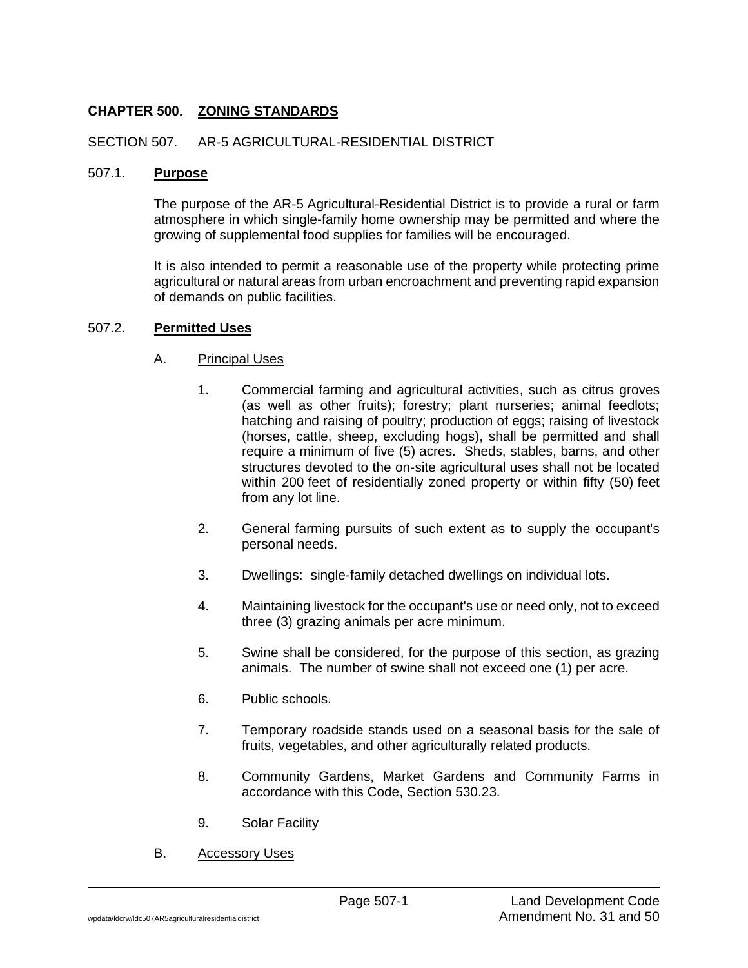# **CHAPTER 500. ZONING STANDARDS**

### SECTION 507. AR-5 AGRICULTURAL-RESIDENTIAL DISTRICT

#### 507.1. **Purpose**

The purpose of the AR-5 Agricultural-Residential District is to provide a rural or farm atmosphere in which single-family home ownership may be permitted and where the growing of supplemental food supplies for families will be encouraged.

It is also intended to permit a reasonable use of the property while protecting prime agricultural or natural areas from urban encroachment and preventing rapid expansion of demands on public facilities.

### 507.2. **Permitted Uses**

- A. Principal Uses
	- 1. Commercial farming and agricultural activities, such as citrus groves (as well as other fruits); forestry; plant nurseries; animal feedlots; hatching and raising of poultry; production of eggs; raising of livestock (horses, cattle, sheep, excluding hogs), shall be permitted and shall require a minimum of five (5) acres. Sheds, stables, barns, and other structures devoted to the on-site agricultural uses shall not be located within 200 feet of residentially zoned property or within fifty (50) feet from any lot line.
	- 2. General farming pursuits of such extent as to supply the occupant's personal needs.
	- 3. Dwellings: single-family detached dwellings on individual lots.
	- 4. Maintaining livestock for the occupant's use or need only, not to exceed three (3) grazing animals per acre minimum.
	- 5. Swine shall be considered, for the purpose of this section, as grazing animals. The number of swine shall not exceed one (1) per acre.
	- 6. Public schools.
	- 7. Temporary roadside stands used on a seasonal basis for the sale of fruits, vegetables, and other agriculturally related products.
	- 8. Community Gardens, Market Gardens and Community Farms in accordance with this Code, Section 530.23.
	- 9. Solar Facility
- B. Accessory Uses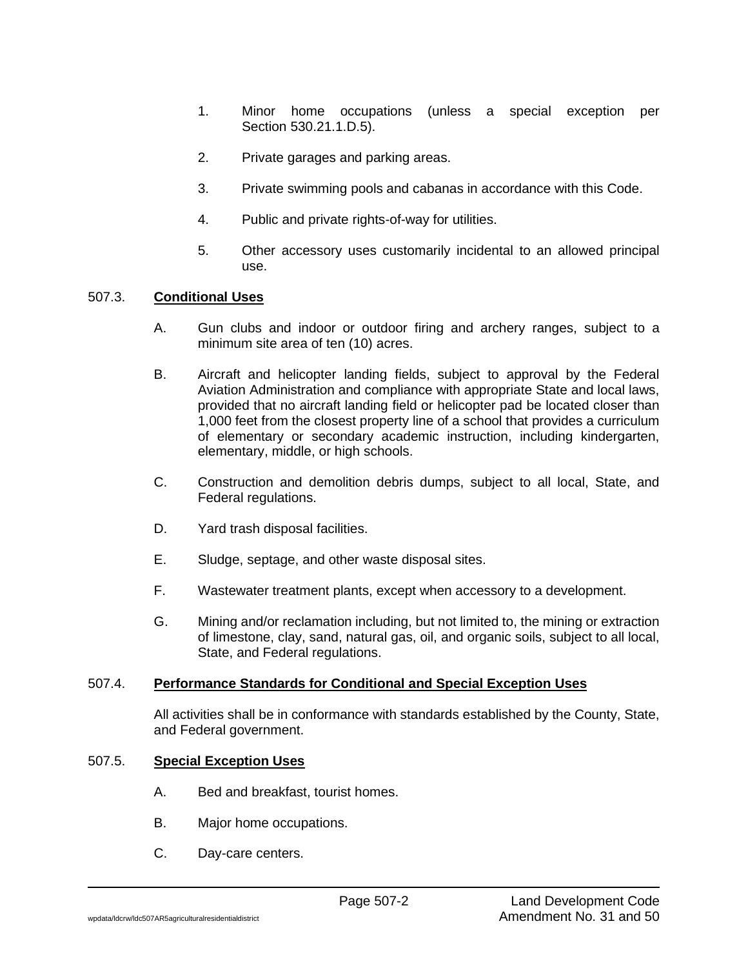- 1. Minor home occupations (unless a special exception per Section 530.21.1.D.5).
- 2. Private garages and parking areas.
- 3. Private swimming pools and cabanas in accordance with this Code.
- 4. Public and private rights-of-way for utilities.
- 5. Other accessory uses customarily incidental to an allowed principal use.

# 507.3. **Conditional Uses**

- A. Gun clubs and indoor or outdoor firing and archery ranges, subject to a minimum site area of ten (10) acres.
- B. Aircraft and helicopter landing fields, subject to approval by the Federal Aviation Administration and compliance with appropriate State and local laws, provided that no aircraft landing field or helicopter pad be located closer than 1,000 feet from the closest property line of a school that provides a curriculum of elementary or secondary academic instruction, including kindergarten, elementary, middle, or high schools.
- C. Construction and demolition debris dumps, subject to all local, State, and Federal regulations.
- D. Yard trash disposal facilities.
- E. Sludge, septage, and other waste disposal sites.
- F. Wastewater treatment plants, except when accessory to a development.
- G. Mining and/or reclamation including, but not limited to, the mining or extraction of limestone, clay, sand, natural gas, oil, and organic soils, subject to all local, State, and Federal regulations.

# 507.4. **Performance Standards for Conditional and Special Exception Uses**

All activities shall be in conformance with standards established by the County, State, and Federal government.

### 507.5. **Special Exception Uses**

- A. Bed and breakfast, tourist homes.
- B. Major home occupations.
- C. Day-care centers.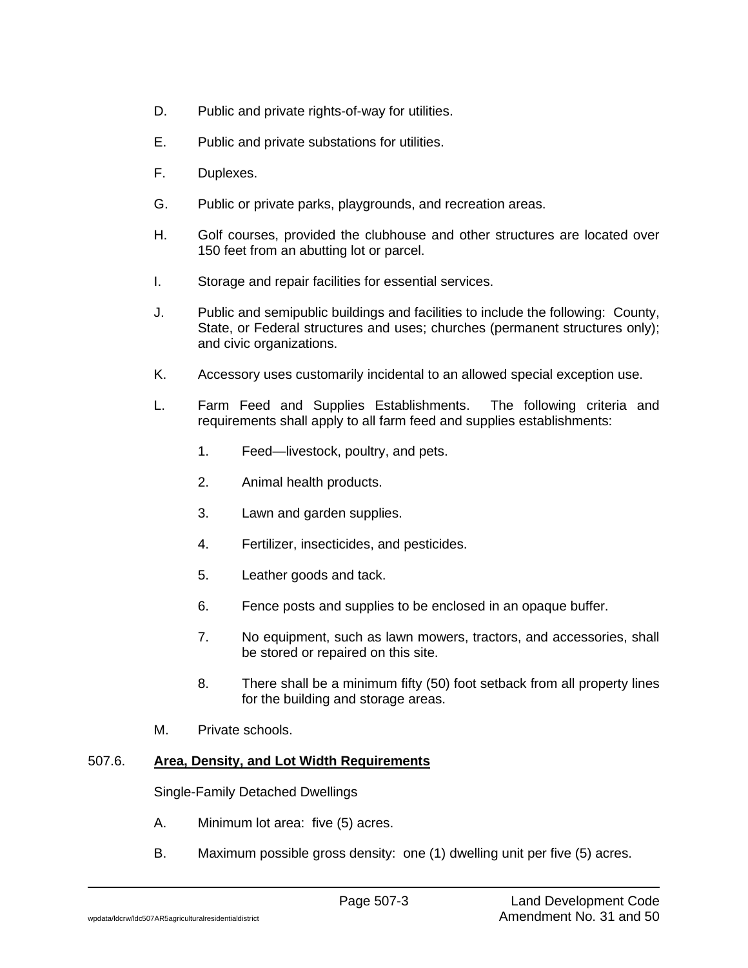- D. Public and private rights-of-way for utilities.
- E. Public and private substations for utilities.
- F. Duplexes.
- G. Public or private parks, playgrounds, and recreation areas.
- H. Golf courses, provided the clubhouse and other structures are located over 150 feet from an abutting lot or parcel.
- I. Storage and repair facilities for essential services.
- J. Public and semipublic buildings and facilities to include the following: County, State, or Federal structures and uses; churches (permanent structures only); and civic organizations.
- K. Accessory uses customarily incidental to an allowed special exception use.
- L. Farm Feed and Supplies Establishments. The following criteria and requirements shall apply to all farm feed and supplies establishments:
	- 1. Feed—livestock, poultry, and pets.
	- 2. Animal health products.
	- 3. Lawn and garden supplies.
	- 4. Fertilizer, insecticides, and pesticides.
	- 5. Leather goods and tack.
	- 6. Fence posts and supplies to be enclosed in an opaque buffer.
	- 7. No equipment, such as lawn mowers, tractors, and accessories, shall be stored or repaired on this site.
	- 8. There shall be a minimum fifty (50) foot setback from all property lines for the building and storage areas.
- M. Private schools.

# 507.6. **Area, Density, and Lot Width Requirements**

Single-Family Detached Dwellings

- A. Minimum lot area: five (5) acres.
- B. Maximum possible gross density: one (1) dwelling unit per five (5) acres.